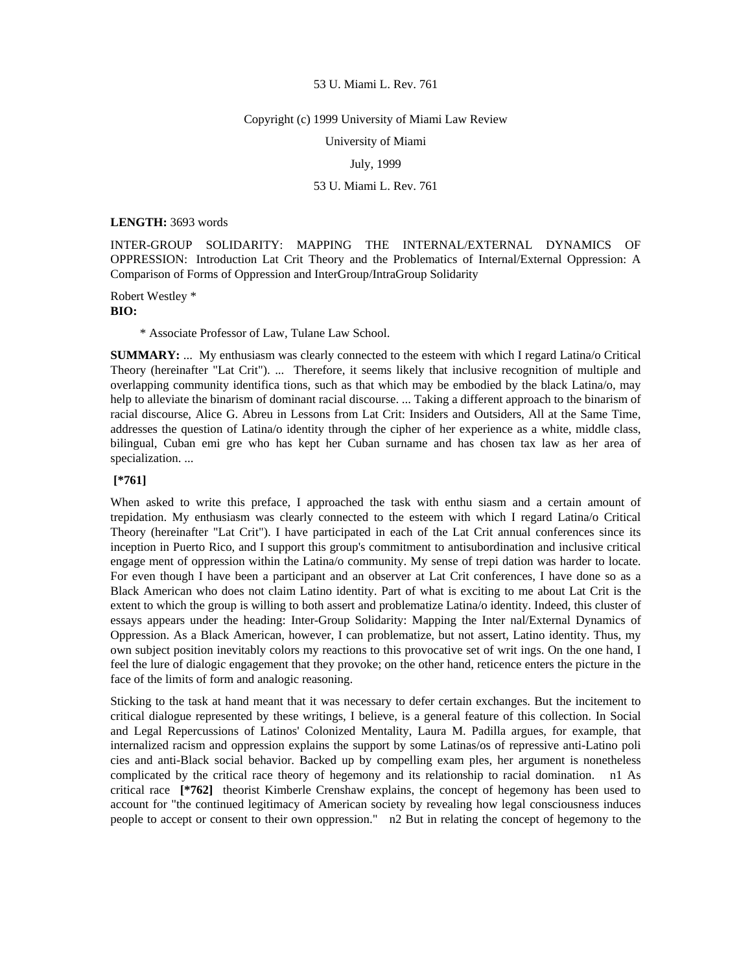#### Copyright (c) 1999 University of Miami Law Review

University of Miami

July, 1999

### 53 U. Miami L. Rev. 761

#### **LENGTH:** 3693 words

INTER-GROUP SOLIDARITY: MAPPING THE INTERNAL/EXTERNAL DYNAMICS OF OPPRESSION: Introduction Lat Crit Theory and the Problematics of Internal/External Oppression: A Comparison of Forms of Oppression and InterGroup/IntraGroup Solidarity

Robert Westley \* **BIO:** 

\* Associate Professor of Law, Tulane Law School.

**SUMMARY:** ... My enthusiasm was clearly connected to the esteem with which I regard Latina/o Critical Theory (hereinafter "Lat Crit"). ... Therefore, it seems likely that inclusive recognition of multiple and overlapping community identifica tions, such as that which may be embodied by the black Latina/o, may help to alleviate the binarism of dominant racial discourse. ... Taking a different approach to the binarism of racial discourse, Alice G. Abreu in Lessons from Lat Crit: Insiders and Outsiders, All at the Same Time, addresses the question of Latina/o identity through the cipher of her experience as a white, middle class, bilingual, Cuban emi gre who has kept her Cuban surname and has chosen tax law as her area of specialization. ...

# **[\*761]**

When asked to write this preface, I approached the task with enthu siasm and a certain amount of trepidation. My enthusiasm was clearly connected to the esteem with which I regard Latina/o Critical Theory (hereinafter "Lat Crit"). I have participated in each of the Lat Crit annual conferences since its inception in Puerto Rico, and I support this group's commitment to antisubordination and inclusive critical engage ment of oppression within the Latina/o community. My sense of trepi dation was harder to locate. For even though I have been a participant and an observer at Lat Crit conferences, I have done so as a Black American who does not claim Latino identity. Part of what is exciting to me about Lat Crit is the extent to which the group is willing to both assert and problematize Latina/o identity. Indeed, this cluster of essays appears under the heading: Inter-Group Solidarity: Mapping the Inter nal/External Dynamics of Oppression. As a Black American, however, I can problematize, but not assert, Latino identity. Thus, my own subject position inevitably colors my reactions to this provocative set of writ ings. On the one hand, I feel the lure of dialogic engagement that they provoke; on the other hand, reticence enters the picture in the face of the limits of form and analogic reasoning.

Sticking to the task at hand meant that it was necessary to defer certain exchanges. But the incitement to critical dialogue represented by these writings, I believe, is a general feature of this collection. In Social and Legal Repercussions of Latinos' Colonized Mentality, Laura M. Padilla argues, for example, that internalized racism and oppression explains the support by some Latinas/os of repressive anti-Latino poli cies and anti-Black social behavior. Backed up by compelling exam ples, her argument is nonetheless complicated by the critical race theory of hegemony and its relationship to racial domination. n1 As critical race **[\*762]** theorist Kimberle Crenshaw explains, the concept of hegemony has been used to account for "the continued legitimacy of American society by revealing how legal consciousness induces people to accept or consent to their own oppression." n2 But in relating the concept of hegemony to the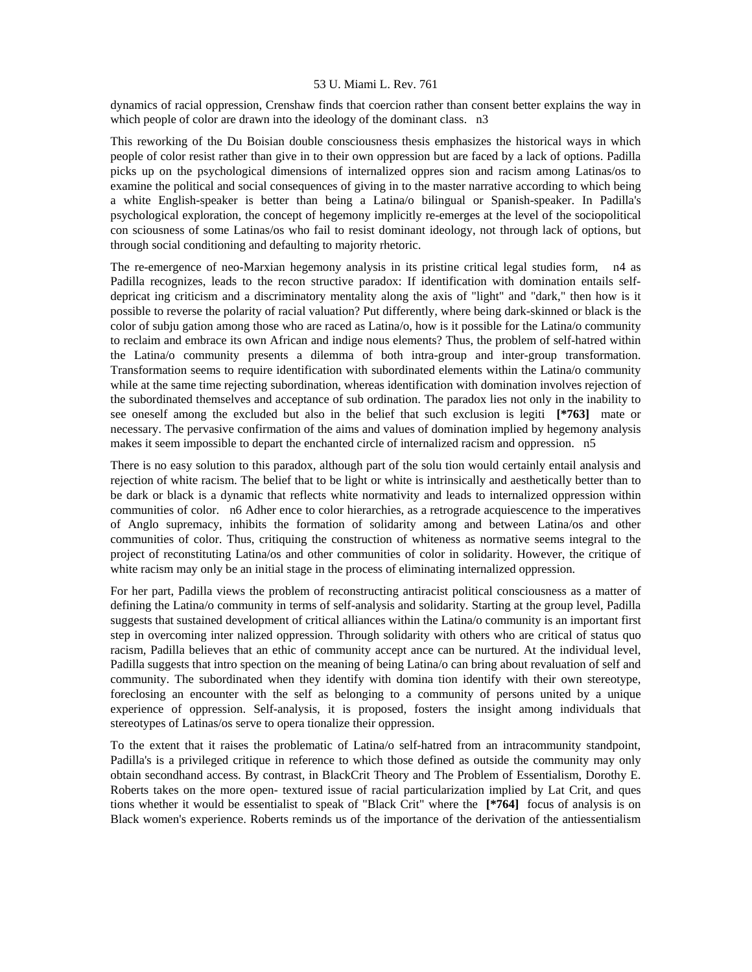dynamics of racial oppression, Crenshaw finds that coercion rather than consent better explains the way in which people of color are drawn into the ideology of the dominant class. n3

This reworking of the Du Boisian double consciousness thesis emphasizes the historical ways in which people of color resist rather than give in to their own oppression but are faced by a lack of options. Padilla picks up on the psychological dimensions of internalized oppres sion and racism among Latinas/os to examine the political and social consequences of giving in to the master narrative according to which being a white English-speaker is better than being a Latina/o bilingual or Spanish-speaker. In Padilla's psychological exploration, the concept of hegemony implicitly re-emerges at the level of the sociopolitical con sciousness of some Latinas/os who fail to resist dominant ideology, not through lack of options, but through social conditioning and defaulting to majority rhetoric.

The re-emergence of neo-Marxian hegemony analysis in its pristine critical legal studies form, n4 as Padilla recognizes, leads to the recon structive paradox: If identification with domination entails selfdepricat ing criticism and a discriminatory mentality along the axis of "light" and "dark," then how is it possible to reverse the polarity of racial valuation? Put differently, where being dark-skinned or black is the color of subju gation among those who are raced as Latina/o, how is it possible for the Latina/o community to reclaim and embrace its own African and indige nous elements? Thus, the problem of self-hatred within the Latina/o community presents a dilemma of both intra-group and inter-group transformation. Transformation seems to require identification with subordinated elements within the Latina/o community while at the same time rejecting subordination, whereas identification with domination involves rejection of the subordinated themselves and acceptance of sub ordination. The paradox lies not only in the inability to see oneself among the excluded but also in the belief that such exclusion is legiti **[\*763]** mate or necessary. The pervasive confirmation of the aims and values of domination implied by hegemony analysis makes it seem impossible to depart the enchanted circle of internalized racism and oppression. n5

There is no easy solution to this paradox, although part of the solu tion would certainly entail analysis and rejection of white racism. The belief that to be light or white is intrinsically and aesthetically better than to be dark or black is a dynamic that reflects white normativity and leads to internalized oppression within communities of color. n6 Adher ence to color hierarchies, as a retrograde acquiescence to the imperatives of Anglo supremacy, inhibits the formation of solidarity among and between Latina/os and other communities of color. Thus, critiquing the construction of whiteness as normative seems integral to the project of reconstituting Latina/os and other communities of color in solidarity. However, the critique of white racism may only be an initial stage in the process of eliminating internalized oppression.

For her part, Padilla views the problem of reconstructing antiracist political consciousness as a matter of defining the Latina/o community in terms of self-analysis and solidarity. Starting at the group level, Padilla suggests that sustained development of critical alliances within the Latina/o community is an important first step in overcoming inter nalized oppression. Through solidarity with others who are critical of status quo racism, Padilla believes that an ethic of community accept ance can be nurtured. At the individual level, Padilla suggests that intro spection on the meaning of being Latina/o can bring about revaluation of self and community. The subordinated when they identify with domina tion identify with their own stereotype, foreclosing an encounter with the self as belonging to a community of persons united by a unique experience of oppression. Self-analysis, it is proposed, fosters the insight among individuals that stereotypes of Latinas/os serve to opera tionalize their oppression.

To the extent that it raises the problematic of Latina/o self-hatred from an intracommunity standpoint, Padilla's is a privileged critique in reference to which those defined as outside the community may only obtain secondhand access. By contrast, in BlackCrit Theory and The Problem of Essentialism, Dorothy E. Roberts takes on the more open- textured issue of racial particularization implied by Lat Crit, and ques tions whether it would be essentialist to speak of "Black Crit" where the **[\*764]** focus of analysis is on Black women's experience. Roberts reminds us of the importance of the derivation of the antiessentialism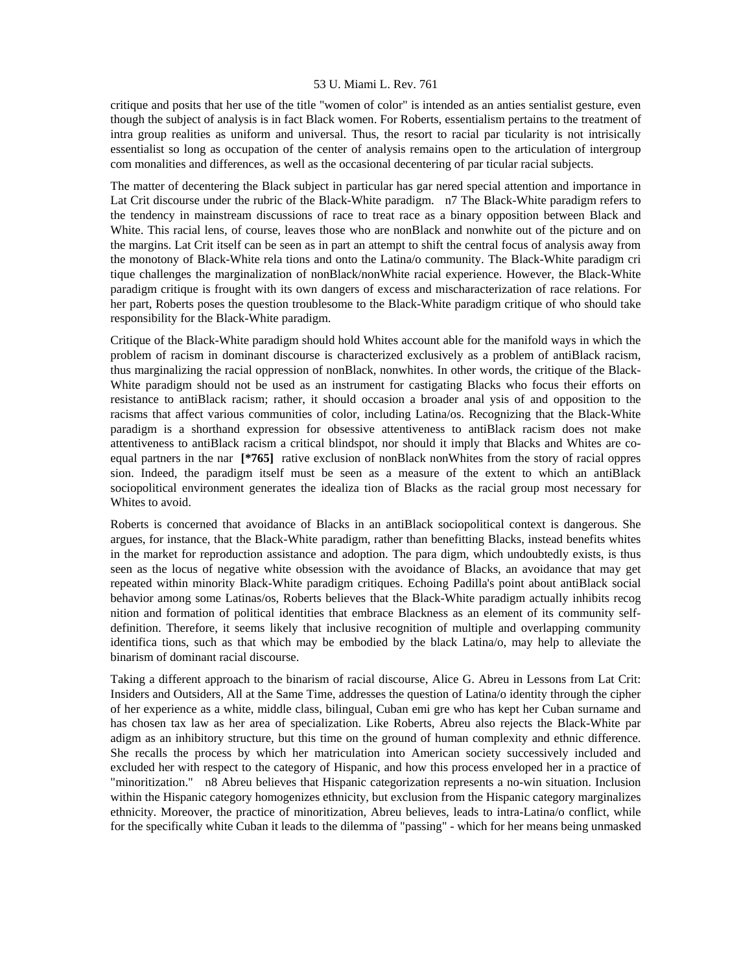critique and posits that her use of the title "women of color" is intended as an anties sentialist gesture, even though the subject of analysis is in fact Black women. For Roberts, essentialism pertains to the treatment of intra group realities as uniform and universal. Thus, the resort to racial par ticularity is not intrisically essentialist so long as occupation of the center of analysis remains open to the articulation of intergroup com monalities and differences, as well as the occasional decentering of par ticular racial subjects.

The matter of decentering the Black subject in particular has gar nered special attention and importance in Lat Crit discourse under the rubric of the Black-White paradigm. n7 The Black-White paradigm refers to the tendency in mainstream discussions of race to treat race as a binary opposition between Black and White. This racial lens, of course, leaves those who are nonBlack and nonwhite out of the picture and on the margins. Lat Crit itself can be seen as in part an attempt to shift the central focus of analysis away from the monotony of Black-White rela tions and onto the Latina/o community. The Black-White paradigm cri tique challenges the marginalization of nonBlack/nonWhite racial experience. However, the Black-White paradigm critique is frought with its own dangers of excess and mischaracterization of race relations. For her part, Roberts poses the question troublesome to the Black-White paradigm critique of who should take responsibility for the Black-White paradigm.

Critique of the Black-White paradigm should hold Whites account able for the manifold ways in which the problem of racism in dominant discourse is characterized exclusively as a problem of antiBlack racism, thus marginalizing the racial oppression of nonBlack, nonwhites. In other words, the critique of the Black-White paradigm should not be used as an instrument for castigating Blacks who focus their efforts on resistance to antiBlack racism; rather, it should occasion a broader anal ysis of and opposition to the racisms that affect various communities of color, including Latina/os. Recognizing that the Black-White paradigm is a shorthand expression for obsessive attentiveness to antiBlack racism does not make attentiveness to antiBlack racism a critical blindspot, nor should it imply that Blacks and Whites are coequal partners in the nar **[\*765]** rative exclusion of nonBlack nonWhites from the story of racial oppres sion. Indeed, the paradigm itself must be seen as a measure of the extent to which an antiBlack sociopolitical environment generates the idealiza tion of Blacks as the racial group most necessary for Whites to avoid.

Roberts is concerned that avoidance of Blacks in an antiBlack sociopolitical context is dangerous. She argues, for instance, that the Black-White paradigm, rather than benefitting Blacks, instead benefits whites in the market for reproduction assistance and adoption. The para digm, which undoubtedly exists, is thus seen as the locus of negative white obsession with the avoidance of Blacks, an avoidance that may get repeated within minority Black-White paradigm critiques. Echoing Padilla's point about antiBlack social behavior among some Latinas/os, Roberts believes that the Black-White paradigm actually inhibits recog nition and formation of political identities that embrace Blackness as an element of its community selfdefinition. Therefore, it seems likely that inclusive recognition of multiple and overlapping community identifica tions, such as that which may be embodied by the black Latina/o, may help to alleviate the binarism of dominant racial discourse.

Taking a different approach to the binarism of racial discourse, Alice G. Abreu in Lessons from Lat Crit: Insiders and Outsiders, All at the Same Time, addresses the question of Latina/o identity through the cipher of her experience as a white, middle class, bilingual, Cuban emi gre who has kept her Cuban surname and has chosen tax law as her area of specialization. Like Roberts, Abreu also rejects the Black-White par adigm as an inhibitory structure, but this time on the ground of human complexity and ethnic difference. She recalls the process by which her matriculation into American society successively included and excluded her with respect to the category of Hispanic, and how this process enveloped her in a practice of "minoritization." n8 Abreu believes that Hispanic categorization represents a no-win situation. Inclusion within the Hispanic category homogenizes ethnicity, but exclusion from the Hispanic category marginalizes ethnicity. Moreover, the practice of minoritization, Abreu believes, leads to intra-Latina/o conflict, while for the specifically white Cuban it leads to the dilemma of "passing" - which for her means being unmasked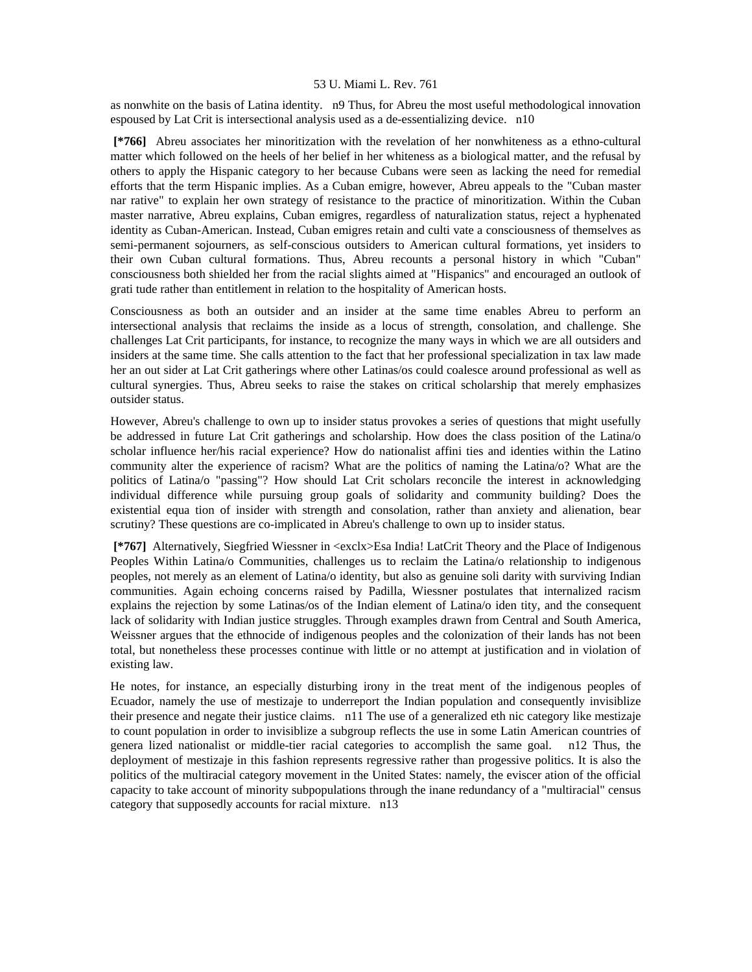as nonwhite on the basis of Latina identity. n9 Thus, for Abreu the most useful methodological innovation espoused by Lat Crit is intersectional analysis used as a de-essentializing device. n10

 **[\*766]** Abreu associates her minoritization with the revelation of her nonwhiteness as a ethno-cultural matter which followed on the heels of her belief in her whiteness as a biological matter, and the refusal by others to apply the Hispanic category to her because Cubans were seen as lacking the need for remedial efforts that the term Hispanic implies. As a Cuban emigre, however, Abreu appeals to the "Cuban master nar rative" to explain her own strategy of resistance to the practice of minoritization. Within the Cuban master narrative, Abreu explains, Cuban emigres, regardless of naturalization status, reject a hyphenated identity as Cuban-American. Instead, Cuban emigres retain and culti vate a consciousness of themselves as semi-permanent sojourners, as self-conscious outsiders to American cultural formations, yet insiders to their own Cuban cultural formations. Thus, Abreu recounts a personal history in which "Cuban" consciousness both shielded her from the racial slights aimed at "Hispanics" and encouraged an outlook of grati tude rather than entitlement in relation to the hospitality of American hosts.

Consciousness as both an outsider and an insider at the same time enables Abreu to perform an intersectional analysis that reclaims the inside as a locus of strength, consolation, and challenge. She challenges Lat Crit participants, for instance, to recognize the many ways in which we are all outsiders and insiders at the same time. She calls attention to the fact that her professional specialization in tax law made her an out sider at Lat Crit gatherings where other Latinas/os could coalesce around professional as well as cultural synergies. Thus, Abreu seeks to raise the stakes on critical scholarship that merely emphasizes outsider status.

However, Abreu's challenge to own up to insider status provokes a series of questions that might usefully be addressed in future Lat Crit gatherings and scholarship. How does the class position of the Latina/o scholar influence her/his racial experience? How do nationalist affini ties and identies within the Latino community alter the experience of racism? What are the politics of naming the Latina/o? What are the politics of Latina/o "passing"? How should Lat Crit scholars reconcile the interest in acknowledging individual difference while pursuing group goals of solidarity and community building? Does the existential equa tion of insider with strength and consolation, rather than anxiety and alienation, bear scrutiny? These questions are co-implicated in Abreu's challenge to own up to insider status.

 **[\*767]** Alternatively, Siegfried Wiessner in <exclx>Esa India! LatCrit Theory and the Place of Indigenous Peoples Within Latina/o Communities, challenges us to reclaim the Latina/o relationship to indigenous peoples, not merely as an element of Latina/o identity, but also as genuine soli darity with surviving Indian communities. Again echoing concerns raised by Padilla, Wiessner postulates that internalized racism explains the rejection by some Latinas/os of the Indian element of Latina/o iden tity, and the consequent lack of solidarity with Indian justice struggles. Through examples drawn from Central and South America, Weissner argues that the ethnocide of indigenous peoples and the colonization of their lands has not been total, but nonetheless these processes continue with little or no attempt at justification and in violation of existing law.

He notes, for instance, an especially disturbing irony in the treat ment of the indigenous peoples of Ecuador, namely the use of mestizaje to underreport the Indian population and consequently invisiblize their presence and negate their justice claims. n11 The use of a generalized eth nic category like mestizaje to count population in order to invisiblize a subgroup reflects the use in some Latin American countries of genera lized nationalist or middle-tier racial categories to accomplish the same goal. n12 Thus, the deployment of mestizaje in this fashion represents regressive rather than progessive politics. It is also the politics of the multiracial category movement in the United States: namely, the eviscer ation of the official capacity to take account of minority subpopulations through the inane redundancy of a "multiracial" census category that supposedly accounts for racial mixture. n13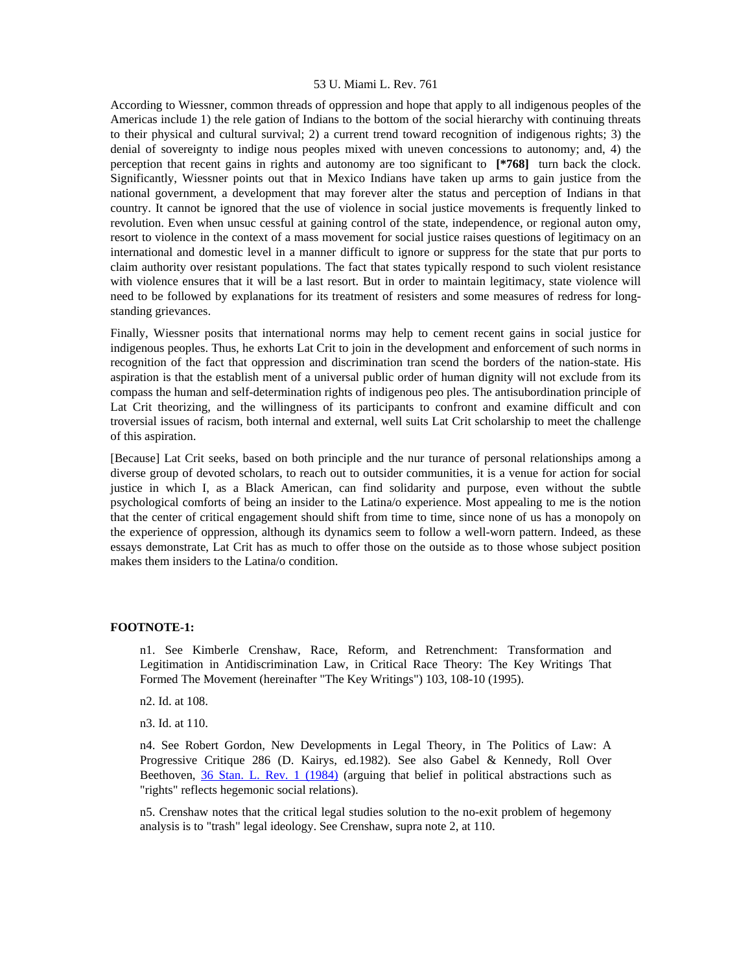According to Wiessner, common threads of oppression and hope that apply to all indigenous peoples of the Americas include 1) the rele gation of Indians to the bottom of the social hierarchy with continuing threats to their physical and cultural survival; 2) a current trend toward recognition of indigenous rights; 3) the denial of sovereignty to indige nous peoples mixed with uneven concessions to autonomy; and, 4) the perception that recent gains in rights and autonomy are too significant to **[\*768]** turn back the clock. Significantly, Wiessner points out that in Mexico Indians have taken up arms to gain justice from the national government, a development that may forever alter the status and perception of Indians in that country. It cannot be ignored that the use of violence in social justice movements is frequently linked to revolution. Even when unsuc cessful at gaining control of the state, independence, or regional auton omy, resort to violence in the context of a mass movement for social justice raises questions of legitimacy on an international and domestic level in a manner difficult to ignore or suppress for the state that pur ports to claim authority over resistant populations. The fact that states typically respond to such violent resistance with violence ensures that it will be a last resort. But in order to maintain legitimacy, state violence will need to be followed by explanations for its treatment of resisters and some measures of redress for longstanding grievances.

Finally, Wiessner posits that international norms may help to cement recent gains in social justice for indigenous peoples. Thus, he exhorts Lat Crit to join in the development and enforcement of such norms in recognition of the fact that oppression and discrimination tran scend the borders of the nation-state. His aspiration is that the establish ment of a universal public order of human dignity will not exclude from its compass the human and self-determination rights of indigenous peo ples. The antisubordination principle of Lat Crit theorizing, and the willingness of its participants to confront and examine difficult and con troversial issues of racism, both internal and external, well suits Lat Crit scholarship to meet the challenge of this aspiration.

[Because] Lat Crit seeks, based on both principle and the nur turance of personal relationships among a diverse group of devoted scholars, to reach out to outsider communities, it is a venue for action for social justice in which I, as a Black American, can find solidarity and purpose, even without the subtle psychological comforts of being an insider to the Latina/o experience. Most appealing to me is the notion that the center of critical engagement should shift from time to time, since none of us has a monopoly on the experience of oppression, although its dynamics seem to follow a well-worn pattern. Indeed, as these essays demonstrate, Lat Crit has as much to offer those on the outside as to those whose subject position makes them insiders to the Latina/o condition.

## **FOOTNOTE-1:**

n1. See Kimberle Crenshaw, Race, Reform, and Retrenchment: Transformation and Legitimation in Antidiscrimination Law, in Critical Race Theory: The Key Writings That Formed The Movement (hereinafter "The Key Writings") 103, 108-10 (1995).

n2. Id. at 108.

n3. Id. at 110.

n4. See Robert Gordon, New Developments in Legal Theory, in The Politics of Law: A Progressive Critique 286 (D. Kairys, ed.1982). See also Gabel & Kennedy, Roll Over Beethoven, [36 Stan. L. Rev. 1 \(1984\)](http://www.lexis.com/research/xlink?searchtype=get&search=36%20Stan.%20L.%20Rev.%201) (arguing that belief in political abstractions such as "rights" reflects hegemonic social relations).

n5. Crenshaw notes that the critical legal studies solution to the no-exit problem of hegemony analysis is to "trash" legal ideology. See Crenshaw, supra note 2, at 110.